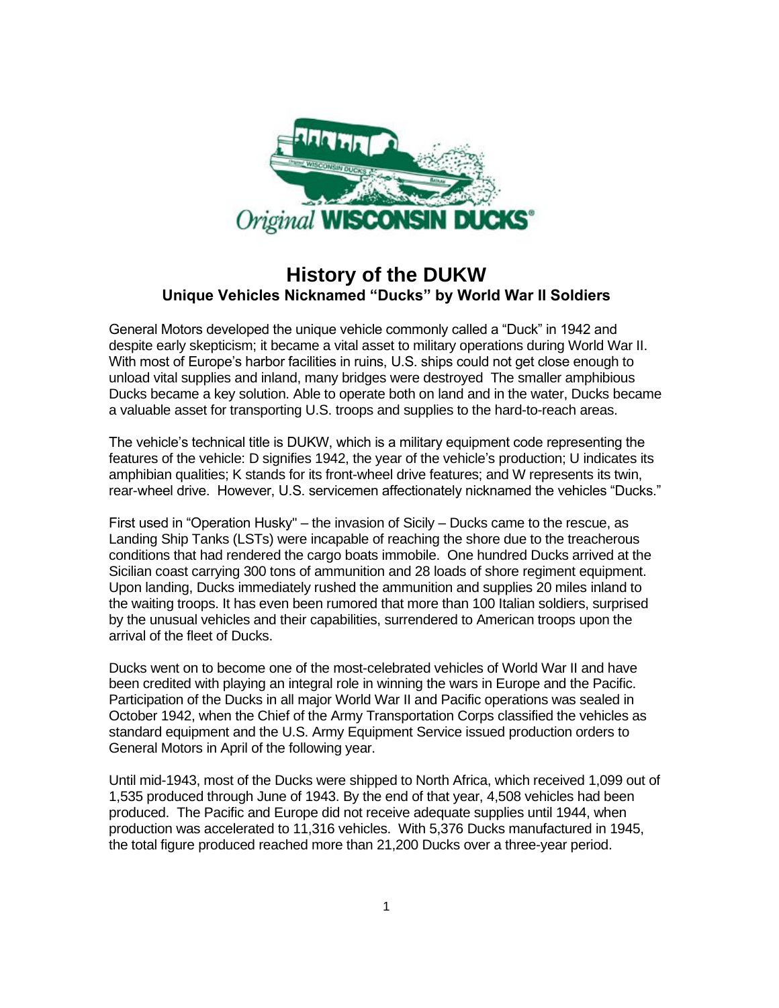

## **History of the DUKW Unique Vehicles Nicknamed "Ducks" by World War II Soldiers**

General Motors developed the unique vehicle commonly called a "Duck" in 1942 and despite early skepticism; it became a vital asset to military operations during World War II. With most of Europe's harbor facilities in ruins, U.S. ships could not get close enough to unload vital supplies and inland, many bridges were destroyed The smaller amphibious Ducks became a key solution. Able to operate both on land and in the water, Ducks became a valuable asset for transporting U.S. troops and supplies to the hard-to-reach areas.

The vehicle's technical title is DUKW, which is a military equipment code representing the features of the vehicle: D signifies 1942, the year of the vehicle's production; U indicates its amphibian qualities; K stands for its front-wheel drive features; and W represents its twin, rear-wheel drive. However, U.S. servicemen affectionately nicknamed the vehicles "Ducks."

First used in "Operation Husky" – the invasion of Sicily – Ducks came to the rescue, as Landing Ship Tanks (LSTs) were incapable of reaching the shore due to the treacherous conditions that had rendered the cargo boats immobile. One hundred Ducks arrived at the Sicilian coast carrying 300 tons of ammunition and 28 loads of shore regiment equipment. Upon landing, Ducks immediately rushed the ammunition and supplies 20 miles inland to the waiting troops. It has even been rumored that more than 100 Italian soldiers, surprised by the unusual vehicles and their capabilities, surrendered to American troops upon the arrival of the fleet of Ducks.

Ducks went on to become one of the most-celebrated vehicles of World War II and have been credited with playing an integral role in winning the wars in Europe and the Pacific. Participation of the Ducks in all major World War II and Pacific operations was sealed in October 1942, when the Chief of the Army Transportation Corps classified the vehicles as standard equipment and the U.S. Army Equipment Service issued production orders to General Motors in April of the following year.

Until mid-1943, most of the Ducks were shipped to North Africa, which received 1,099 out of 1,535 produced through June of 1943. By the end of that year, 4,508 vehicles had been produced. The Pacific and Europe did not receive adequate supplies until 1944, when production was accelerated to 11,316 vehicles. With 5,376 Ducks manufactured in 1945, the total figure produced reached more than 21,200 Ducks over a three-year period.